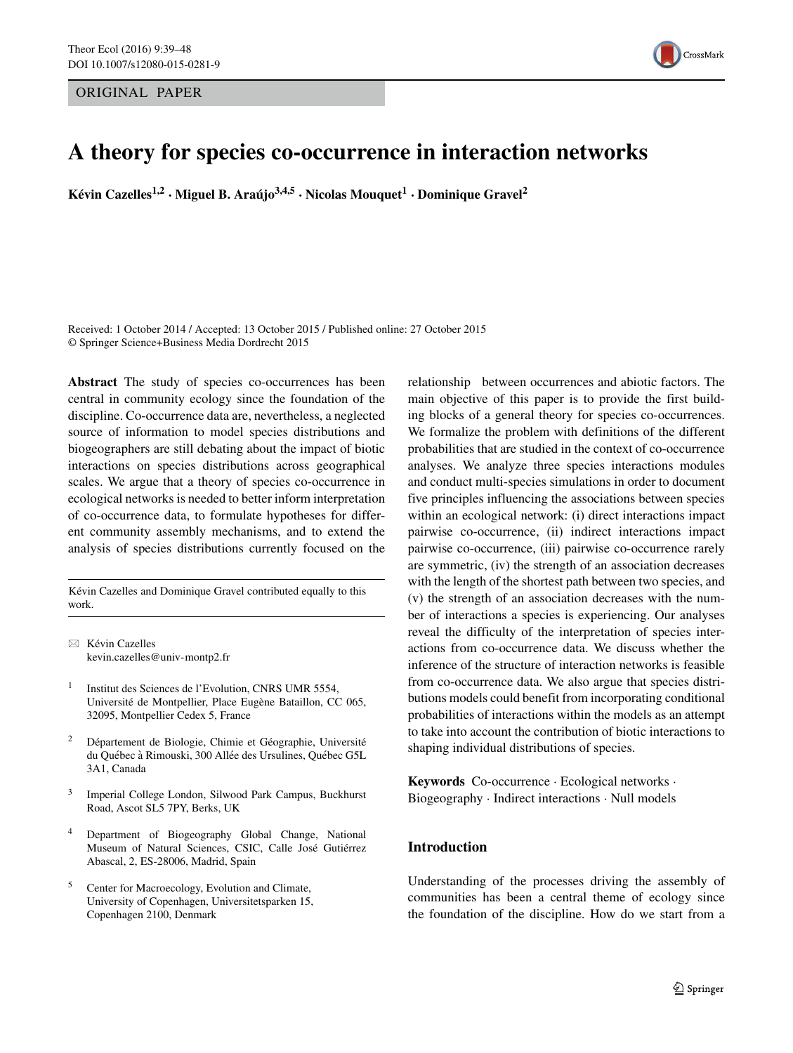ORIGINAL PAPER



# **A theory for species co-occurrence in interaction networks**

**Kévin Cazelles**<sup>1,2</sup> **• Miguel B.** Araujo<sup>3,4,5</sup> • Nicolas Mouquet<sup>1</sup> • Dominique Gravel<sup>2</sup>

Received: 1 October 2014 / Accepted: 13 October 2015 / Published online: 27 October 2015 © Springer Science+Business Media Dordrecht 2015

**Abstract** The study of species co-occurrences has been central in community ecology since the foundation of the discipline. Co-occurrence data are, nevertheless, a neglected source of information to model species distributions and biogeographers are still debating about the impact of biotic interactions on species distributions across geographical scales. We argue that a theory of species co-occurrence in ecological networks is needed to better inform interpretation of co-occurrence data, to formulate hypotheses for different community assembly mechanisms, and to extend the analysis of species distributions currently focused on the

Kévin Cazelles and Dominique Gravel contributed equally to this work.

 $\boxtimes$  Kévin Cazelles [kevin.cazelles@univ-montp2.fr](mailto:kevin.cazelles@univ-montp2.fr)

- <sup>1</sup> Institut des Sciences de l'Evolution, CNRS UMR 5554, Université de Montpellier, Place Eugène Bataillon, CC 065, 32095, Montpellier Cedex 5, France
- $2$  Département de Biologie, Chimie et Géographie, Université du Québec à Rimouski, 300 Allée des Ursulines, Québec G5L 3A1, Canada
- <sup>3</sup> Imperial College London, Silwood Park Campus, Buckhurst Road, Ascot SL5 7PY, Berks, UK
- Department of Biogeography Global Change, National Museum of Natural Sciences, CSIC, Calle José Gutiérrez Abascal, 2, ES-28006, Madrid, Spain
- <sup>5</sup> Center for Macroecology, Evolution and Climate, University of Copenhagen, Universitetsparken 15, Copenhagen 2100, Denmark

relationship between occurrences and abiotic factors. The main objective of this paper is to provide the first building blocks of a general theory for species co-occurrences. We formalize the problem with definitions of the different probabilities that are studied in the context of co-occurrence analyses. We analyze three species interactions modules and conduct multi-species simulations in order to document five principles influencing the associations between species within an ecological network: (i) direct interactions impact pairwise co-occurrence, (ii) indirect interactions impact pairwise co-occurrence, (iii) pairwise co-occurrence rarely are symmetric, (iv) the strength of an association decreases with the length of the shortest path between two species, and (v) the strength of an association decreases with the number of interactions a species is experiencing. Our analyses reveal the difficulty of the interpretation of species interactions from co-occurrence data. We discuss whether the inference of the structure of interaction networks is feasible from co-occurrence data. We also argue that species distributions models could benefit from incorporating conditional probabilities of interactions within the models as an attempt to take into account the contribution of biotic interactions to shaping individual distributions of species.

**Keywords** Co-occurrence · Ecological networks · Biogeography · Indirect interactions · Null models

## **Introduction**

Understanding of the processes driving the assembly of communities has been a central theme of ecology since the foundation of the discipline. How do we start from a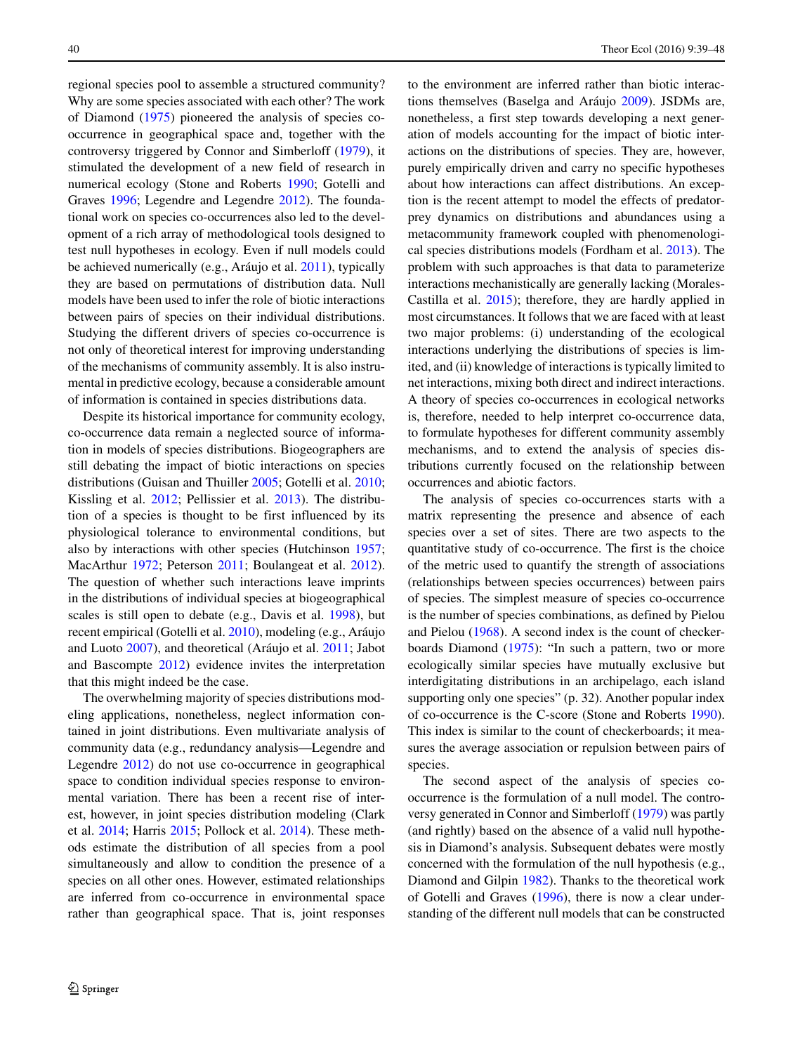regional species pool to assemble a structured community? Why are some species associated with each other? The work of Diamond [\(1975\)](#page-8-0) pioneered the analysis of species cooccurrence in geographical space and, together with the controversy triggered by Connor and Simberloff [\(1979\)](#page-8-1), it stimulated the development of a new field of research in numerical ecology (Stone and Roberts [1990;](#page-9-0) Gotelli and Graves [1996;](#page-8-2) Legendre and Legendre [2012\)](#page-9-1). The foundational work on species co-occurrences also led to the development of a rich array of methodological tools designed to test null hypotheses in ecology. Even if null models could be achieved numerically (e.g., Aráujo et al. [2011\)](#page-8-3), typically they are based on permutations of distribution data. Null models have been used to infer the role of biotic interactions between pairs of species on their individual distributions. Studying the different drivers of species co-occurrence is not only of theoretical interest for improving understanding of the mechanisms of community assembly. It is also instrumental in predictive ecology, because a considerable amount of information is contained in species distributions data.

Despite its historical importance for community ecology, co-occurrence data remain a neglected source of information in models of species distributions. Biogeographers are still debating the impact of biotic interactions on species distributions (Guisan and Thuiller [2005;](#page-8-4) Gotelli et al. [2010;](#page-8-5) Kissling et al. [2012;](#page-8-6) Pellissier et al. [2013\)](#page-9-2). The distribution of a species is thought to be first influenced by its physiological tolerance to environmental conditions, but also by interactions with other species (Hutchinson [1957;](#page-8-7) MacArthur [1972;](#page-9-3) Peterson [2011;](#page-9-4) Boulangeat et al. [2012\)](#page-8-8). The question of whether such interactions leave imprints in the distributions of individual species at biogeographical scales is still open to debate (e.g., Davis et al. [1998\)](#page-8-9), but recent empirical (Gotelli et al. [2010\)](#page-8-5), modeling (e.g., Aráujo and Luoto  $2007$ ), and theoretical (Aráujo et al.  $2011$ ; Jabot and Bascompte [2012\)](#page-8-11) evidence invites the interpretation that this might indeed be the case.

The overwhelming majority of species distributions modeling applications, nonetheless, neglect information contained in joint distributions. Even multivariate analysis of community data (e.g., redundancy analysis—Legendre and Legendre [2012\)](#page-9-1) do not use co-occurrence in geographical space to condition individual species response to environmental variation. There has been a recent rise of interest, however, in joint species distribution modeling (Clark et al. [2014;](#page-8-12) Harris [2015;](#page-8-13) Pollock et al. [2014\)](#page-9-5). These methods estimate the distribution of all species from a pool simultaneously and allow to condition the presence of a species on all other ones. However, estimated relationships are inferred from co-occurrence in environmental space rather than geographical space. That is, joint responses to the environment are inferred rather than biotic interac-tions themselves (Baselga and Aráujo [2009\)](#page-8-14). JSDMs are, nonetheless, a first step towards developing a next generation of models accounting for the impact of biotic interactions on the distributions of species. They are, however, purely empirically driven and carry no specific hypotheses about how interactions can affect distributions. An exception is the recent attempt to model the effects of predatorprey dynamics on distributions and abundances using a metacommunity framework coupled with phenomenological species distributions models (Fordham et al. [2013\)](#page-8-15). The problem with such approaches is that data to parameterize interactions mechanistically are generally lacking (Morales-Castilla et al. [2015\)](#page-9-6); therefore, they are hardly applied in most circumstances. It follows that we are faced with at least two major problems: (i) understanding of the ecological interactions underlying the distributions of species is limited, and (ii) knowledge of interactions is typically limited to net interactions, mixing both direct and indirect interactions. A theory of species co-occurrences in ecological networks is, therefore, needed to help interpret co-occurrence data, to formulate hypotheses for different community assembly mechanisms, and to extend the analysis of species distributions currently focused on the relationship between occurrences and abiotic factors.

The analysis of species co-occurrences starts with a matrix representing the presence and absence of each species over a set of sites. There are two aspects to the quantitative study of co-occurrence. The first is the choice of the metric used to quantify the strength of associations (relationships between species occurrences) between pairs of species. The simplest measure of species co-occurrence is the number of species combinations, as defined by Pielou and Pielou [\(1968\)](#page-9-7). A second index is the count of checkerboards Diamond [\(1975\)](#page-8-0): "In such a pattern, two or more ecologically similar species have mutually exclusive but interdigitating distributions in an archipelago, each island supporting only one species" (p. 32). Another popular index of co-occurrence is the C-score (Stone and Roberts [1990\)](#page-9-0). This index is similar to the count of checkerboards; it measures the average association or repulsion between pairs of species.

The second aspect of the analysis of species cooccurrence is the formulation of a null model. The controversy generated in Connor and Simberloff [\(1979\)](#page-8-1) was partly (and rightly) based on the absence of a valid null hypothesis in Diamond's analysis. Subsequent debates were mostly concerned with the formulation of the null hypothesis (e.g., Diamond and Gilpin [1982\)](#page-8-16). Thanks to the theoretical work of Gotelli and Graves [\(1996\)](#page-8-2), there is now a clear understanding of the different null models that can be constructed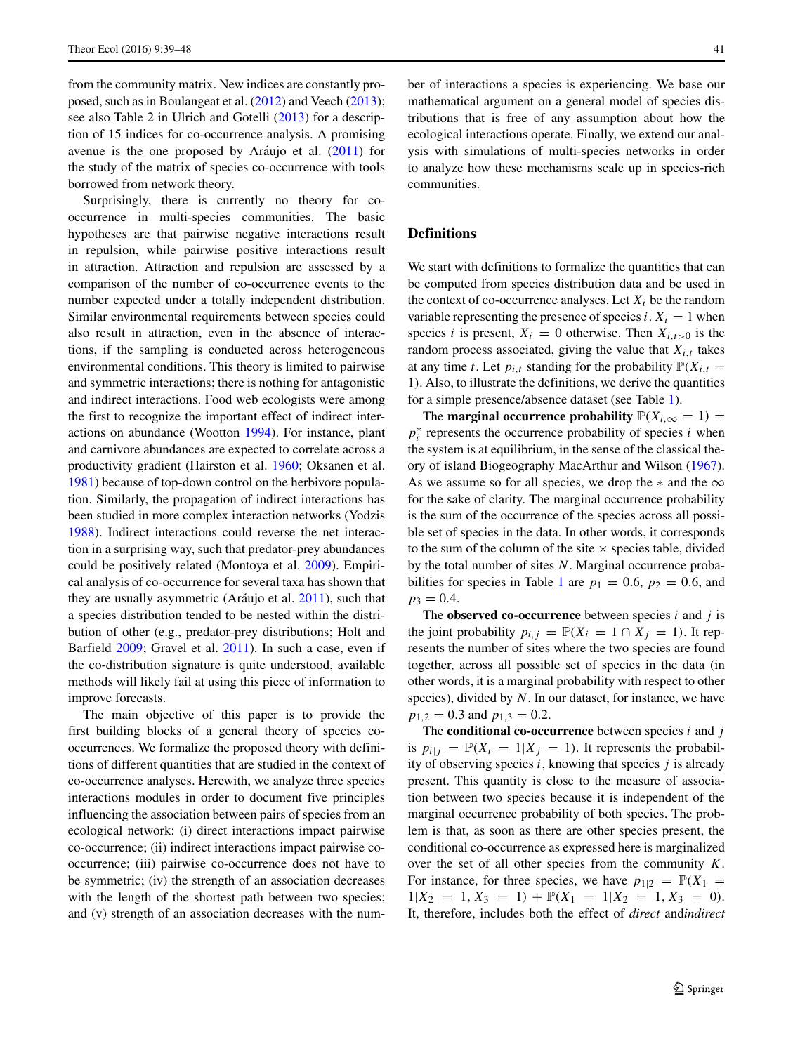from the community matrix. New indices are constantly proposed, such as in Boulangeat et al. [\(2012\)](#page-8-8) and Veech [\(2013\)](#page-9-8); see also Table 2 in Ulrich and Gotelli [\(2013\)](#page-9-9) for a description of 15 indices for co-occurrence analysis. A promising avenue is the one proposed by Aráujo et al.  $(2011)$  $(2011)$  for the study of the matrix of species co-occurrence with tools borrowed from network theory.

Surprisingly, there is currently no theory for cooccurrence in multi-species communities. The basic hypotheses are that pairwise negative interactions result in repulsion, while pairwise positive interactions result in attraction. Attraction and repulsion are assessed by a comparison of the number of co-occurrence events to the number expected under a totally independent distribution. Similar environmental requirements between species could also result in attraction, even in the absence of interactions, if the sampling is conducted across heterogeneous environmental conditions. This theory is limited to pairwise and symmetric interactions; there is nothing for antagonistic and indirect interactions. Food web ecologists were among the first to recognize the important effect of indirect interactions on abundance (Wootton [1994\)](#page-9-10). For instance, plant and carnivore abundances are expected to correlate across a productivity gradient (Hairston et al. [1960;](#page-8-17) Oksanen et al. [1981\)](#page-9-11) because of top-down control on the herbivore population. Similarly, the propagation of indirect interactions has been studied in more complex interaction networks (Yodzis [1988\)](#page-9-12). Indirect interactions could reverse the net interaction in a surprising way, such that predator-prey abundances could be positively related (Montoya et al. [2009\)](#page-9-13). Empirical analysis of co-occurrence for several taxa has shown that they are usually asymmetric (Aráujo et al.  $2011$ ), such that a species distribution tended to be nested within the distribution of other (e.g., predator-prey distributions; Holt and Barfield [2009;](#page-8-18) Gravel et al. [2011\)](#page-8-19). In such a case, even if the co-distribution signature is quite understood, available methods will likely fail at using this piece of information to improve forecasts.

The main objective of this paper is to provide the first building blocks of a general theory of species cooccurrences. We formalize the proposed theory with definitions of different quantities that are studied in the context of co-occurrence analyses. Herewith, we analyze three species interactions modules in order to document five principles influencing the association between pairs of species from an ecological network: (i) direct interactions impact pairwise co-occurrence; (ii) indirect interactions impact pairwise cooccurrence; (iii) pairwise co-occurrence does not have to be symmetric; (iv) the strength of an association decreases with the length of the shortest path between two species; and (v) strength of an association decreases with the number of interactions a species is experiencing. We base our mathematical argument on a general model of species distributions that is free of any assumption about how the ecological interactions operate. Finally, we extend our analysis with simulations of multi-species networks in order to analyze how these mechanisms scale up in species-rich communities.

## **Definitions**

We start with definitions to formalize the quantities that can be computed from species distribution data and be used in the context of co-occurrence analyses. Let  $X_i$  be the random variable representing the presence of species  $i$ .  $X_i = 1$  when species *i* is present,  $X_i = 0$  otherwise. Then  $X_{i,t>0}$  is the random process associated, giving the value that  $X_{i,t}$  takes at any time *t*. Let  $p_{i,t}$  standing for the probability  $\mathbb{P}(X_{i,t} =$ 1*)*. Also, to illustrate the definitions, we derive the quantities for a simple presence/absence dataset (see Table [1\)](#page-3-0).

The **marginal occurrence probability**  $\mathbb{P}(X_{i,\infty} = 1) =$  $p_i^*$  represents the occurrence probability of species *i* when the system is at equilibrium, in the sense of the classical theory of island Biogeography MacArthur and Wilson [\(1967\)](#page-9-14). As we assume so for all species, we drop the  $*$  and the  $\infty$ for the sake of clarity. The marginal occurrence probability is the sum of the occurrence of the species across all possible set of species in the data. In other words, it corresponds to the sum of the column of the site  $\times$  species table, divided by the total number of sites *N*. Marginal occurrence proba-bilities for species in Table [1](#page-3-0) are  $p_1 = 0.6$ ,  $p_2 = 0.6$ , and  $p_3 = 0.4$ .

The **observed co-occurrence** between species *i* and *j* is the joint probability  $p_{i,j} = \mathbb{P}(X_i = 1 \cap X_j = 1)$ . It represents the number of sites where the two species are found together, across all possible set of species in the data (in other words, it is a marginal probability with respect to other species), divided by *N*. In our dataset, for instance, we have  $p_{1,2} = 0.3$  and  $p_{1,3} = 0.2$ .

The **conditional co-occurrence** between species *i* and *j* is  $p_{i|j} = \mathbb{P}(X_i = 1 | X_j = 1)$ . It represents the probability of observing species *i*, knowing that species *j* is already present. This quantity is close to the measure of association between two species because it is independent of the marginal occurrence probability of both species. The problem is that, as soon as there are other species present, the conditional co-occurrence as expressed here is marginalized over the set of all other species from the community *K*. For instance, for three species, we have  $p_{1|2} = \mathbb{P}(X_1 =$  $1|X_2 = 1, X_3 = 1) + \mathbb{P}(X_1 = 1|X_2 = 1, X_3 = 0).$ It, therefore, includes both the effect of *direct* and*indirect*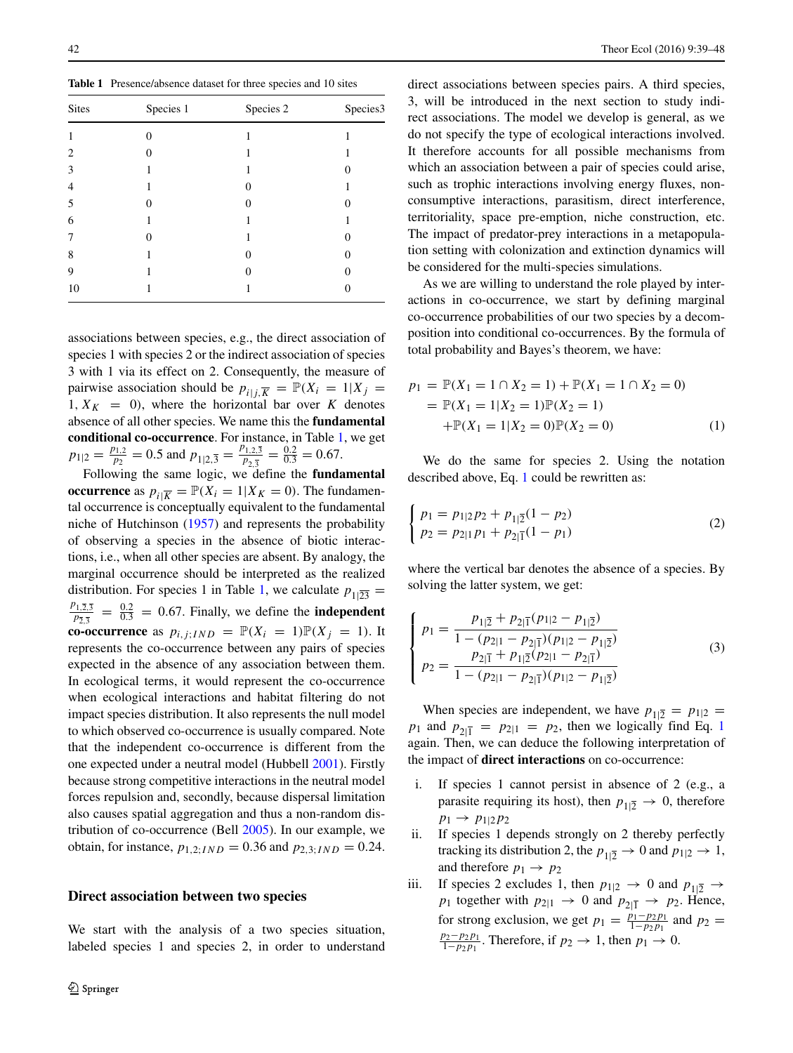<span id="page-3-0"></span>**Table 1** Presence/absence dataset for three species and 10 sites

| <b>Sites</b> | Species 1 | Species 2 | Species3 |
|--------------|-----------|-----------|----------|
| 1            |           |           |          |
| 2            |           |           |          |
| 3            |           |           |          |
| 4            |           |           |          |
| 5            | 0         | 0         |          |
| 6            |           |           |          |
| 7            | ∩         |           |          |
| 8            |           |           |          |
| 9            |           | 0         |          |
| 10           |           |           |          |

associations between species, e.g., the direct association of species 1 with species 2 or the indirect association of species 3 with 1 via its effect on 2. Consequently, the measure of pairwise association should be  $p_{i|j,\overline{K}} = \mathbb{P}(X_i = 1 | X_j =$ 1,  $X_K = 0$ , where the horizontal bar over K denotes absence of all other species. We name this the **fundamental conditional co-occurrence**. For instance, in Table [1,](#page-3-0) we get  $p_{1|2} = \frac{p_{1,2}}{p_2} = 0.5$  and  $p_{1|2,3} = \frac{p_{1,2,3}}{p_{2,3}} = \frac{0.2}{0.3} = 0.67$ .

Following the same logic, we define the **fundamental occurrence** as  $p_{i|\overline{K}} = \mathbb{P}(X_i = 1 | X_K = 0)$ . The fundamental occurrence is conceptually equivalent to the fundamental niche of Hutchinson [\(1957\)](#page-8-7) and represents the probability of observing a species in the absence of biotic interactions, i.e., when all other species are absent. By analogy, the marginal occurrence should be interpreted as the realized distribution. For species 1 in Table [1,](#page-3-0) we calculate  $p_{1|\overline{23}} =$  $p_{\overline{2},\overline{3}}^{2} = \frac{0.2}{0.3} = 0.67$ . Finally, we define the **independent co-occurrence** as  $p_{i,j;IND} = \mathbb{P}(X_i = 1)\mathbb{P}(X_j = 1)$ . It represents the co-occurrence between any pairs of species expected in the absence of any association between them. In ecological terms, it would represent the co-occurrence when ecological interactions and habitat filtering do not impact species distribution. It also represents the null model to which observed co-occurrence is usually compared. Note that the independent co-occurrence is different from the one expected under a neutral model (Hubbell [2001\)](#page-8-20). Firstly because strong competitive interactions in the neutral model forces repulsion and, secondly, because dispersal limitation also causes spatial aggregation and thus a non-random distribution of co-occurrence (Bell [2005\)](#page-8-21). In our example, we obtain, for instance,  $p_{1,2;IND} = 0.36$  and  $p_{2,3;IND} = 0.24$ .

## **Direct association between two species**

We start with the analysis of a two species situation, labeled species 1 and species 2, in order to understand direct associations between species pairs. A third species, 3, will be introduced in the next section to study indirect associations. The model we develop is general, as we do not specify the type of ecological interactions involved. It therefore accounts for all possible mechanisms from which an association between a pair of species could arise, such as trophic interactions involving energy fluxes, nonconsumptive interactions, parasitism, direct interference, territoriality, space pre-emption, niche construction, etc. The impact of predator-prey interactions in a metapopulation setting with colonization and extinction dynamics will be considered for the multi-species simulations.

As we are willing to understand the role played by interactions in co-occurrence, we start by defining marginal co-occurrence probabilities of our two species by a decomposition into conditional co-occurrences. By the formula of total probability and Bayes's theorem, we have:

<span id="page-3-1"></span>
$$
p_1 = \mathbb{P}(X_1 = 1 \cap X_2 = 1) + \mathbb{P}(X_1 = 1 \cap X_2 = 0)
$$
  
=  $\mathbb{P}(X_1 = 1 | X_2 = 1) \mathbb{P}(X_2 = 1)$   
+  $\mathbb{P}(X_1 = 1 | X_2 = 0) \mathbb{P}(X_2 = 0)$  (1)

We do the same for species 2. Using the notation described above, Eq. [1](#page-3-1) could be rewritten as:

$$
\begin{cases}\np_1 = p_{1|2}p_2 + p_{1|\overline{2}}(1 - p_2) \\
p_2 = p_{2|1}p_1 + p_{2|\overline{1}}(1 - p_1)\n\end{cases} \tag{2}
$$

<span id="page-3-2"></span>where the vertical bar denotes the absence of a species. By solving the latter system, we get:

$$
\begin{cases}\np_1 = \frac{p_{1|\overline{2}} + p_{2|\overline{1}}(p_{1|2} - p_{1|\overline{2}})}{1 - (p_{2|1} - p_{2|\overline{1}})(p_{1|2} - p_{1|\overline{2}})} \\
p_2 = \frac{p_{2|\overline{1}} + p_{1|\overline{2}}(p_{2|1} - p_{2|\overline{1}})}{1 - (p_{2|1} - p_{2|\overline{1}})(p_{1|2} - p_{1|\overline{2}})}\n\end{cases} \tag{3}
$$

When species are independent, we have  $p_{1|\overline{2}} = p_{1|2} =$ *p*<sub>[1](#page-3-1)</sub> and  $p_{2|\bar{1}} = p_{2|1} = p_2$ , then we logically find Eq. 1 again. Then, we can deduce the following interpretation of the impact of **direct interactions** on co-occurrence:

- i. If species 1 cannot persist in absence of 2 (e.g., a parasite requiring its host), then  $p_{1|\overline{2}} \rightarrow 0$ , therefore  $p_1 \to p_{1|2} p_2$
- ii. If species 1 depends strongly on 2 thereby perfectly tracking its distribution 2, the  $p_{1|\overline{2}} \rightarrow 0$  and  $p_{1|2} \rightarrow 1$ , and therefore  $p_1 \rightarrow p_2$
- iii. If species 2 excludes 1, then  $p_{1|2} \rightarrow 0$  and  $p_{1|\overline{2}} \rightarrow$ *p*<sub>1</sub> together with  $p_{2|1} \rightarrow 0$  and  $p_{2|\overline{1}} \rightarrow p_2$ . Hence, for strong exclusion, we get  $p_1 = \frac{p_1 - p_2 p_1}{1 - p_2 p_1}$  and  $p_2 =$  $\frac{p_2-p_2p_1}{1-p_2p_1}$ . Therefore, if  $p_2 \to 1$ , then  $p_1 \to 0$ .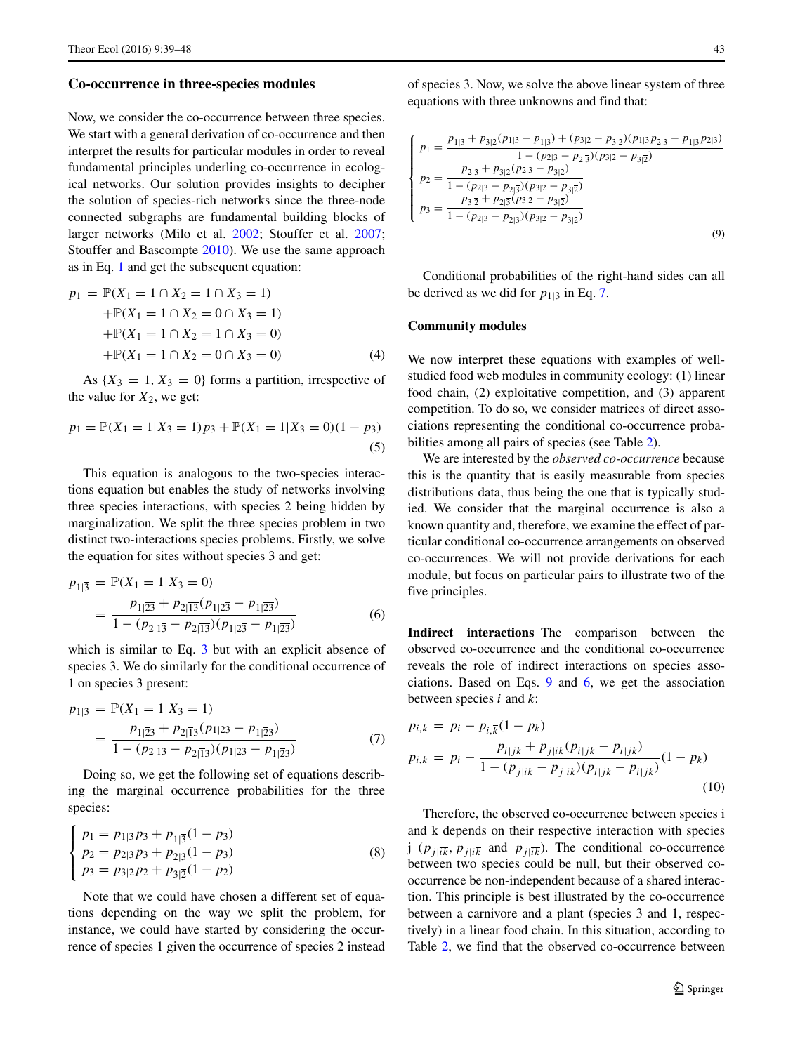#### **Co-occurrence in three-species modules**

Now, we consider the co-occurrence between three species. We start with a general derivation of co-occurrence and then interpret the results for particular modules in order to reveal fundamental principles underling co-occurrence in ecological networks. Our solution provides insights to decipher the solution of species-rich networks since the three-node connected subgraphs are fundamental building blocks of larger networks (Milo et al. [2002;](#page-9-15) Stouffer et al. [2007;](#page-9-16) Stouffer and Bascompte [2010\)](#page-9-17). We use the same approach as in Eq. [1](#page-3-1) and get the subsequent equation:

$$
p_1 = \mathbb{P}(X_1 = 1 \cap X_2 = 1 \cap X_3 = 1) + \mathbb{P}(X_1 = 1 \cap X_2 = 0 \cap X_3 = 1) + \mathbb{P}(X_1 = 1 \cap X_2 = 1 \cap X_3 = 0) + \mathbb{P}(X_1 = 1 \cap X_2 = 0 \cap X_3 = 0)
$$
 (4)

As  $\{X_3 = 1, X_3 = 0\}$  forms a partition, irrespective of the value for  $X_2$ , we get:

$$
p_1 = \mathbb{P}(X_1 = 1 | X_3 = 1) p_3 + \mathbb{P}(X_1 = 1 | X_3 = 0)(1 - p_3)
$$
\n(5)

This equation is analogous to the two-species interactions equation but enables the study of networks involving three species interactions, with species 2 being hidden by marginalization. We split the three species problem in two distinct two-interactions species problems. Firstly, we solve the equation for sites without species 3 and get:

<span id="page-4-2"></span>
$$
p_{1|\overline{3}} = \mathbb{P}(X_1 = 1 | X_3 = 0)
$$
  
= 
$$
\frac{p_{1|\overline{23}} + p_{2|\overline{13}}(p_{1|2\overline{3}} - p_{1|\overline{23}})}{1 - (p_{2|1\overline{3}} - p_{2|\overline{13}})(p_{1|2\overline{3}} - p_{1|\overline{23}})}
$$
 (6)

which is similar to Eq. [3](#page-3-2) but with an explicit absence of species 3. We do similarly for the conditional occurrence of 1 on species 3 present:

<span id="page-4-0"></span>
$$
p_{1|3} = \mathbb{P}(X_1 = 1 | X_3 = 1)
$$
  
= 
$$
\frac{p_{1|\overline{2}3} + p_{2|\overline{1}3}(p_{1|23} - p_{1|\overline{2}3})}{1 - (p_{2|13} - p_{2|\overline{1}3})(p_{1|23} - p_{1|\overline{2}3})}
$$
 (7)

Doing so, we get the following set of equations describing the marginal occurrence probabilities for the three species:

$$
\begin{cases}\np_1 = p_{1|3}p_3 + p_{1|\overline{3}}(1 - p_3) \\
p_2 = p_{2|3}p_3 + p_{2|\overline{3}}(1 - p_3) \\
p_3 = p_{3|2}p_2 + p_{3|\overline{2}}(1 - p_2)\n\end{cases} \tag{8}
$$

Note that we could have chosen a different set of equations depending on the way we split the problem, for instance, we could have started by considering the occurrence of species 1 given the occurrence of species 2 instead <span id="page-4-1"></span>of species 3. Now, we solve the above linear system of three equations with three unknowns and find that:

$$
\begin{cases}\np_1 = \frac{p_{1|\overline{3}} + p_{3|\overline{2}}(p_{1|3} - p_{1|\overline{3}}) + (p_{3|2} - p_{3|\overline{2}})(p_{1|3}p_{2|\overline{3}} - p_{1|\overline{3}}p_{2|3})}{1 - (p_{2|3} - p_{2|\overline{3}})(p_{3|2} - p_{3|\overline{2}})} \\
p_2 = \frac{p_{2|\overline{3}} + p_{3|\overline{2}}(p_{2|3} - p_{3|\overline{2}})}{1 - (p_{2|3} - p_{2|\overline{3}})(p_{3|2} - p_{3|\overline{2}})} \\
p_3 = \frac{p_{3|\overline{2}} + p_{2|\overline{3}}(p_{3|2} - p_{3|\overline{2}})}{1 - (p_{2|3} - p_{2|\overline{3}})(p_{3|2} - p_{3|\overline{2}})}\n\end{cases}
$$
\n(9)

Conditional probabilities of the right-hand sides can all be derived as we did for  $p_{1|3}$  in Eq. [7.](#page-4-0)

### **Community modules**

We now interpret these equations with examples of wellstudied food web modules in community ecology: (1) linear food chain, (2) exploitative competition, and (3) apparent competition. To do so, we consider matrices of direct associations representing the conditional co-occurrence probabilities among all pairs of species (see Table [2\)](#page-5-0).

We are interested by the *observed co-occurrence* because this is the quantity that is easily measurable from species distributions data, thus being the one that is typically studied. We consider that the marginal occurrence is also a known quantity and, therefore, we examine the effect of particular conditional co-occurrence arrangements on observed co-occurrences. We will not provide derivations for each module, but focus on particular pairs to illustrate two of the five principles.

**Indirect interactions** The comparison between the observed co-occurrence and the conditional co-occurrence reveals the role of indirect interactions on species associations. Based on Eqs. [9](#page-4-1) and [6,](#page-4-2) we get the association between species *i* and *k*:

$$
p_{i,k} = p_i - p_{i,\overline{k}}(1 - p_k)
$$
  
\n
$$
p_{i,k} = p_i - \frac{p_{i|\overline{j}\overline{k}} + p_{j|\overline{i}\overline{k}}(p_{i|j\overline{k}} - p_{i|\overline{j}\overline{k}})}{1 - (p_{j|i\overline{k}} - p_{j|\overline{i}\overline{k}})(p_{i|j\overline{k}} - p_{i|\overline{j}\overline{k}})}(1 - p_k)
$$
\n(10)

Therefore, the observed co-occurrence between species i and k depends on their respective interaction with species j  $(p_{i\mid\overline{i\overline{k}}}, p_{j\mid\overline{i\overline{k}}}$  and  $p_{i\mid\overline{i\overline{k}}}\right)$ . The conditional co-occurrence between two species could be null, but their observed cooccurrence be non-independent because of a shared interaction. This principle is best illustrated by the co-occurrence between a carnivore and a plant (species 3 and 1, respectively) in a linear food chain. In this situation, according to Table [2,](#page-5-0) we find that the observed co-occurrence between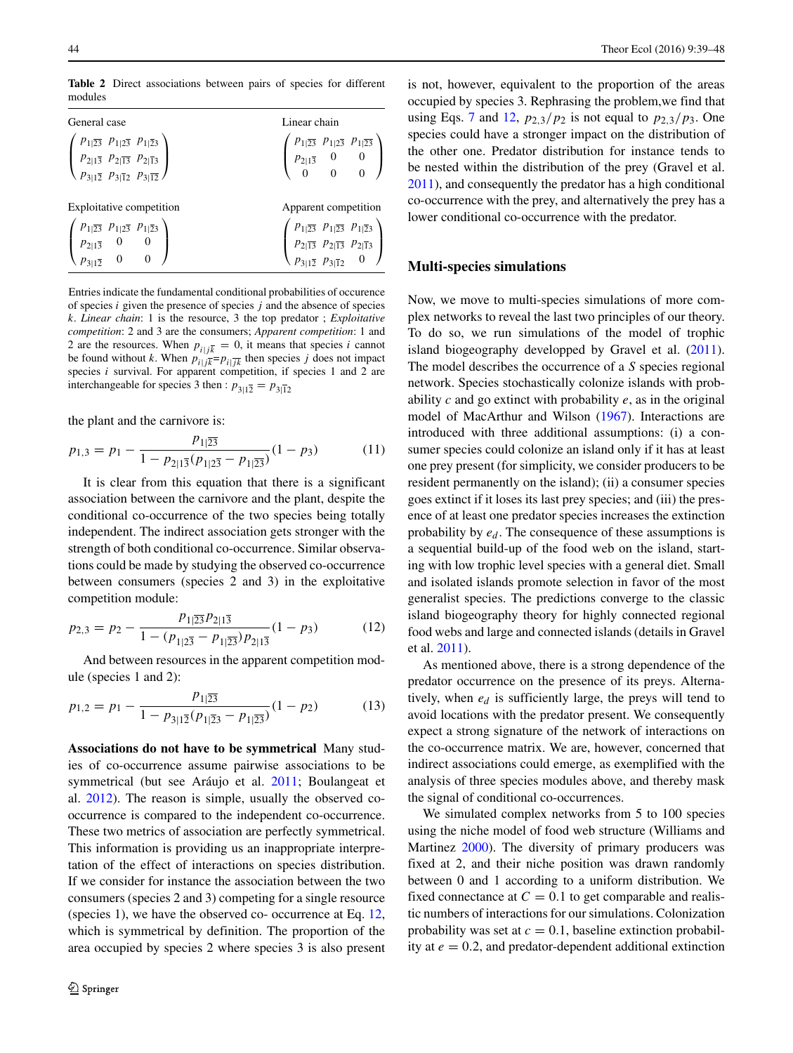<span id="page-5-0"></span>**Table 2** Direct associations between pairs of species for different modules

| General case                                                                                                                                                                                                                                          | Linear chain                                                                                                                                                                                                                      |
|-------------------------------------------------------------------------------------------------------------------------------------------------------------------------------------------------------------------------------------------------------|-----------------------------------------------------------------------------------------------------------------------------------------------------------------------------------------------------------------------------------|
| $\left( \begin{array}{ccc} p_{1 \overline{23}} & p_{1 2\overline{3}} & p_{1 \overline{23}} \\ p_{2 1\overline{3}} & p_{2 \overline{13}} & p_{2 \overline{13}} \\ p_{3 1\overline{2}} & p_{3 \overline{12}} & p_{3 \overline{12}} \end{array} \right)$ | $\left( \begin{array}{ccc} p_{1 \overline{23}} & p_{1 2\overline{3}} & p_{1 \overline{23}} \\ p_{2 1\overline{3}} & 0 & 0 \\ 0 & 0 & 0 \end{array} \right)$                                                                       |
| Exploitative competition                                                                                                                                                                                                                              | Apparent competition                                                                                                                                                                                                              |
| $\left( \begin{array}{ccc} p_{1 \overline{23}} & p_{1 2\overline{3}} & p_{1 \overline{23}} \\ p_{2 1\overline{3}} & 0 & 0 \\ p_{3 1\overline{2}} & 0 & 0 \end{array} \right)$                                                                         | $\left(\begin{array}{ccc} p_{1 \overline{23}} & p_{1 \overline{23}} & p_{1 \overline{23}} \\ p_{2 \overline{13}} & p_{2 \overline{13}} & p_{2 \overline{13}} \\ p_{3 1\overline{2}} & p_{3 \overline{12}} & 0 \end{array}\right)$ |

Entries indicate the fundamental conditional probabilities of occurence of species *i* given the presence of species *j* and the absence of species *k*. *Linear chain*: 1 is the resource, 3 the top predator ; *Exploitative competition*: 2 and 3 are the consumers; *Apparent competition*: 1 and 2 are the resources. When  $p_{i|j\bar{k}} = 0$ , it means that species *i* cannot be found without *k*. When  $p_{i|j\overline{k}}=p_{i|\overline{j}\overline{k}}$  then species *j* does not impact species *i* survival. For apparent competition, if species 1 and 2 are interchangeable for species 3 then :  $p_{3|1\bar{2}} = p_{3|\bar{1}2}$ 

the plant and the carnivore is:

$$
p_{1,3} = p_1 - \frac{p_{1|\overline{23}}}{1 - p_{2|1\overline{3}}(p_{1|2\overline{3}} - p_{1|\overline{23}})}(1 - p_3)
$$
 (11)

It is clear from this equation that there is a significant association between the carnivore and the plant, despite the conditional co-occurrence of the two species being totally independent. The indirect association gets stronger with the strength of both conditional co-occurrence. Similar observations could be made by studying the observed co-occurrence between consumers (species 2 and 3) in the exploitative competition module:

<span id="page-5-1"></span>
$$
p_{2,3} = p_2 - \frac{p_{1|\overline{23}}p_{2|1\overline{3}}}{1 - (p_{1|\overline{23}} - p_{1|\overline{23}})p_{2|1\overline{3}}}(1 - p_3)
$$
(12)

And between resources in the apparent competition module (species 1 and 2):

$$
p_{1,2} = p_1 - \frac{p_{1|\overline{23}}}{1 - p_{3|1\overline{2}}(p_{1|\overline{23}} - p_{1|\overline{23}})}(1 - p_2)
$$
 (13)

**Associations do not have to be symmetrical** Many studies of co-occurrence assume pairwise associations to be symmetrical (but see Aráujo et al. [2011;](#page-8-3) Boulangeat et al. [2012\)](#page-8-8). The reason is simple, usually the observed cooccurrence is compared to the independent co-occurrence. These two metrics of association are perfectly symmetrical. This information is providing us an inappropriate interpretation of the effect of interactions on species distribution. If we consider for instance the association between the two consumers (species 2 and 3) competing for a single resource (species 1), we have the observed co- occurrence at Eq. [12,](#page-5-1) which is symmetrical by definition. The proportion of the area occupied by species 2 where species 3 is also present is not, however, equivalent to the proportion of the areas occupied by species 3. Rephrasing the problem,we find that using Eqs. [7](#page-4-0) and [12,](#page-5-1)  $p_{2,3}/p_2$  is not equal to  $p_{2,3}/p_3$ . One species could have a stronger impact on the distribution of the other one. Predator distribution for instance tends to be nested within the distribution of the prey (Gravel et al. [2011\)](#page-8-19), and consequently the predator has a high conditional co-occurrence with the prey, and alternatively the prey has a lower conditional co-occurrence with the predator.

## **Multi-species simulations**

Now, we move to multi-species simulations of more complex networks to reveal the last two principles of our theory. To do so, we run simulations of the model of trophic island biogeography developped by Gravel et al. [\(2011\)](#page-8-19). The model describes the occurrence of a *S* species regional network. Species stochastically colonize islands with probability *c* and go extinct with probability *e*, as in the original model of MacArthur and Wilson [\(1967\)](#page-9-14). Interactions are introduced with three additional assumptions: (i) a consumer species could colonize an island only if it has at least one prey present (for simplicity, we consider producers to be resident permanently on the island); (ii) a consumer species goes extinct if it loses its last prey species; and (iii) the presence of at least one predator species increases the extinction probability by  $e_d$ . The consequence of these assumptions is a sequential build-up of the food web on the island, starting with low trophic level species with a general diet. Small and isolated islands promote selection in favor of the most generalist species. The predictions converge to the classic island biogeography theory for highly connected regional food webs and large and connected islands (details in Gravel et al. [2011\)](#page-8-19).

As mentioned above, there is a strong dependence of the predator occurrence on the presence of its preys. Alternatively, when *ed* is sufficiently large, the preys will tend to avoid locations with the predator present. We consequently expect a strong signature of the network of interactions on the co-occurrence matrix. We are, however, concerned that indirect associations could emerge, as exemplified with the analysis of three species modules above, and thereby mask the signal of conditional co-occurrences.

We simulated complex networks from 5 to 100 species using the niche model of food web structure (Williams and Martinez [2000\)](#page-9-18). The diversity of primary producers was fixed at 2, and their niche position was drawn randomly between 0 and 1 according to a uniform distribution. We fixed connectance at  $C = 0.1$  to get comparable and realistic numbers of interactions for our simulations. Colonization probability was set at  $c = 0.1$ , baseline extinction probability at  $e = 0.2$ , and predator-dependent additional extinction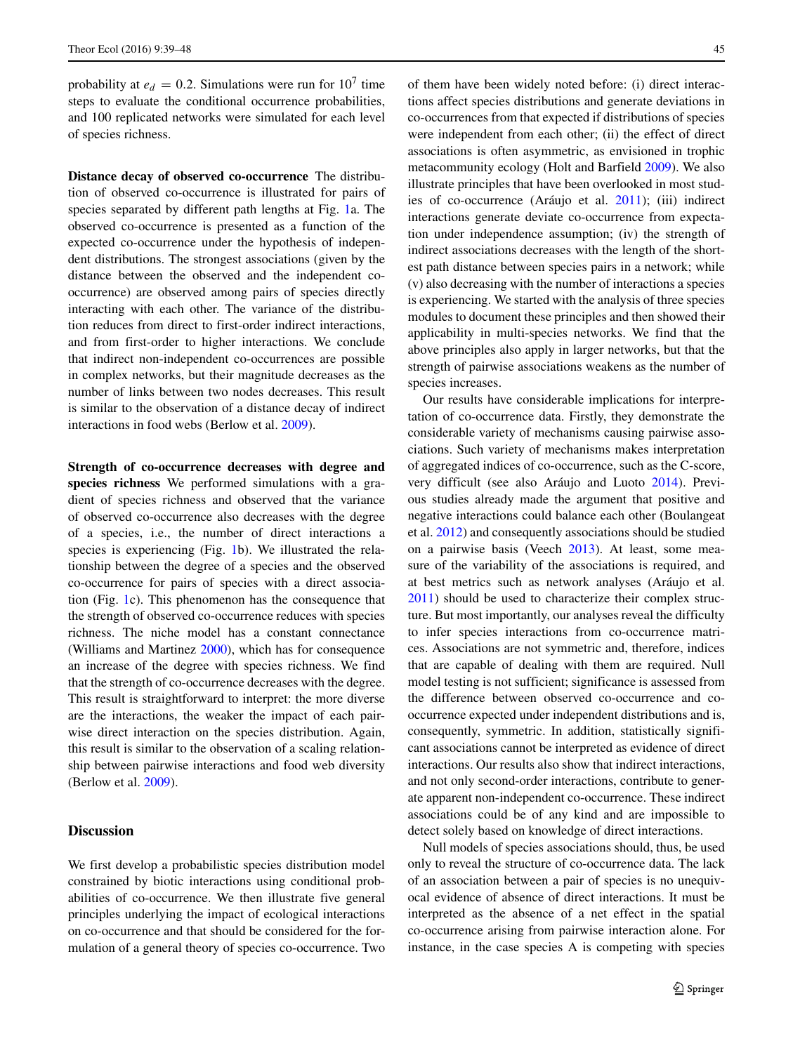probability at  $e_d = 0.2$ . Simulations were run for  $10^7$  time steps to evaluate the conditional occurrence probabilities, and 100 replicated networks were simulated for each level of species richness.

**Distance decay of observed co-occurrence** The distribution of observed co-occurrence is illustrated for pairs of species separated by different path lengths at Fig. [1a](#page-7-0). The observed co-occurrence is presented as a function of the expected co-occurrence under the hypothesis of independent distributions. The strongest associations (given by the distance between the observed and the independent cooccurrence) are observed among pairs of species directly interacting with each other. The variance of the distribution reduces from direct to first-order indirect interactions, and from first-order to higher interactions. We conclude that indirect non-independent co-occurrences are possible in complex networks, but their magnitude decreases as the number of links between two nodes decreases. This result is similar to the observation of a distance decay of indirect interactions in food webs (Berlow et al. [2009\)](#page-8-22).

**Strength of co-occurrence decreases with degree and species richness** We performed simulations with a gradient of species richness and observed that the variance of observed co-occurrence also decreases with the degree of a species, i.e., the number of direct interactions a species is experiencing (Fig. [1b](#page-7-0)). We illustrated the relationship between the degree of a species and the observed co-occurrence for pairs of species with a direct association (Fig. [1c](#page-7-0)). This phenomenon has the consequence that the strength of observed co-occurrence reduces with species richness. The niche model has a constant connectance (Williams and Martinez [2000\)](#page-9-18), which has for consequence an increase of the degree with species richness. We find that the strength of co-occurrence decreases with the degree. This result is straightforward to interpret: the more diverse are the interactions, the weaker the impact of each pairwise direct interaction on the species distribution. Again, this result is similar to the observation of a scaling relationship between pairwise interactions and food web diversity (Berlow et al. [2009\)](#page-8-22).

## **Discussion**

We first develop a probabilistic species distribution model constrained by biotic interactions using conditional probabilities of co-occurrence. We then illustrate five general principles underlying the impact of ecological interactions on co-occurrence and that should be considered for the formulation of a general theory of species co-occurrence. Two

of them have been widely noted before: (i) direct interactions affect species distributions and generate deviations in co-occurrences from that expected if distributions of species were independent from each other; (ii) the effect of direct associations is often asymmetric, as envisioned in trophic metacommunity ecology (Holt and Barfield [2009\)](#page-8-18). We also illustrate principles that have been overlooked in most stud-ies of co-occurrence (Aráujo et al. [2011\)](#page-8-3); (iii) indirect interactions generate deviate co-occurrence from expectation under independence assumption; (iv) the strength of indirect associations decreases with the length of the shortest path distance between species pairs in a network; while (v) also decreasing with the number of interactions a species is experiencing. We started with the analysis of three species modules to document these principles and then showed their applicability in multi-species networks. We find that the above principles also apply in larger networks, but that the strength of pairwise associations weakens as the number of species increases.

Our results have considerable implications for interpretation of co-occurrence data. Firstly, they demonstrate the considerable variety of mechanisms causing pairwise associations. Such variety of mechanisms makes interpretation of aggregated indices of co-occurrence, such as the C-score, very difficult (see also Aráujo and Luoto [2014\)](#page-8-23). Previous studies already made the argument that positive and negative interactions could balance each other (Boulangeat et al. [2012\)](#page-8-8) and consequently associations should be studied on a pairwise basis (Veech [2013\)](#page-9-8). At least, some measure of the variability of the associations is required, and at best metrics such as network analyses (Aráujo et al. [2011\)](#page-8-3) should be used to characterize their complex structure. But most importantly, our analyses reveal the difficulty to infer species interactions from co-occurrence matrices. Associations are not symmetric and, therefore, indices that are capable of dealing with them are required. Null model testing is not sufficient; significance is assessed from the difference between observed co-occurrence and cooccurrence expected under independent distributions and is, consequently, symmetric. In addition, statistically significant associations cannot be interpreted as evidence of direct interactions. Our results also show that indirect interactions, and not only second-order interactions, contribute to generate apparent non-independent co-occurrence. These indirect associations could be of any kind and are impossible to detect solely based on knowledge of direct interactions.

Null models of species associations should, thus, be used only to reveal the structure of co-occurrence data. The lack of an association between a pair of species is no unequivocal evidence of absence of direct interactions. It must be interpreted as the absence of a net effect in the spatial co-occurrence arising from pairwise interaction alone. For instance, in the case species A is competing with species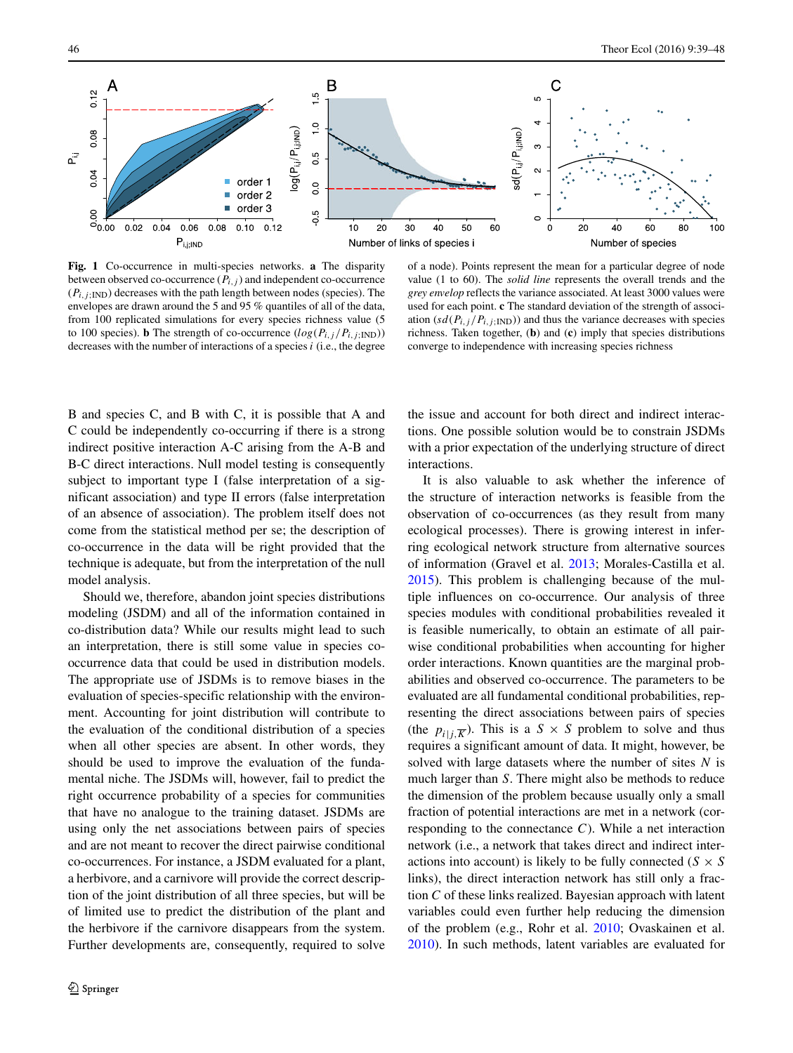<span id="page-7-0"></span>

**Fig. 1** Co-occurrence in multi-species networks. **a** The disparity between observed co-occurrence  $(P_{i,j})$  and independent co-occurrence  $(P_{i,j:IND})$  decreases with the path length between nodes (species). The envelopes are drawn around the 5 and 95 % quantiles of all of the data, from 100 replicated simulations for every species richness value (5 to 100 species). **b** The strength of co-occurrence  $(log(P_{i,j}/P_{i,j;IND}))$ decreases with the number of interactions of a species *i* (i.e., the degree

of a node). Points represent the mean for a particular degree of node value (1 to 60). The *solid line* represents the overall trends and the *grey envelop* reflects the variance associated. At least 3000 values were used for each point. **c** The standard deviation of the strength of association  $(sd(P_{i,j}/P_{i,j;IND}))$  and thus the variance decreases with species richness. Taken together, (**b**) and (**c**) imply that species distributions converge to independence with increasing species richness

B and species C, and B with C, it is possible that A and C could be independently co-occurring if there is a strong indirect positive interaction A-C arising from the A-B and B-C direct interactions. Null model testing is consequently subject to important type I (false interpretation of a significant association) and type II errors (false interpretation of an absence of association). The problem itself does not come from the statistical method per se; the description of co-occurrence in the data will be right provided that the technique is adequate, but from the interpretation of the null model analysis.

Should we, therefore, abandon joint species distributions modeling (JSDM) and all of the information contained in co-distribution data? While our results might lead to such an interpretation, there is still some value in species cooccurrence data that could be used in distribution models. The appropriate use of JSDMs is to remove biases in the evaluation of species-specific relationship with the environment. Accounting for joint distribution will contribute to the evaluation of the conditional distribution of a species when all other species are absent. In other words, they should be used to improve the evaluation of the fundamental niche. The JSDMs will, however, fail to predict the right occurrence probability of a species for communities that have no analogue to the training dataset. JSDMs are using only the net associations between pairs of species and are not meant to recover the direct pairwise conditional co-occurrences. For instance, a JSDM evaluated for a plant, a herbivore, and a carnivore will provide the correct description of the joint distribution of all three species, but will be of limited use to predict the distribution of the plant and the herbivore if the carnivore disappears from the system. Further developments are, consequently, required to solve the issue and account for both direct and indirect interactions. One possible solution would be to constrain JSDMs with a prior expectation of the underlying structure of direct interactions.

It is also valuable to ask whether the inference of the structure of interaction networks is feasible from the observation of co-occurrences (as they result from many ecological processes). There is growing interest in inferring ecological network structure from alternative sources of information (Gravel et al. [2013;](#page-8-24) Morales-Castilla et al. [2015\)](#page-9-6). This problem is challenging because of the multiple influences on co-occurrence. Our analysis of three species modules with conditional probabilities revealed it is feasible numerically, to obtain an estimate of all pairwise conditional probabilities when accounting for higher order interactions. Known quantities are the marginal probabilities and observed co-occurrence. The parameters to be evaluated are all fundamental conditional probabilities, representing the direct associations between pairs of species (the  $p_{i|j,\overline{K}}$ ). This is a  $S \times S$  problem to solve and thus requires a significant amount of data. It might, however, be solved with large datasets where the number of sites *N* is much larger than *S*. There might also be methods to reduce the dimension of the problem because usually only a small fraction of potential interactions are met in a network (corresponding to the connectance *C*). While a net interaction network (i.e., a network that takes direct and indirect interactions into account) is likely to be fully connected ( $S \times S$ links), the direct interaction network has still only a fraction *C* of these links realized. Bayesian approach with latent variables could even further help reducing the dimension of the problem (e.g., Rohr et al. [2010;](#page-9-19) Ovaskainen et al. [2010\)](#page-9-20). In such methods, latent variables are evaluated for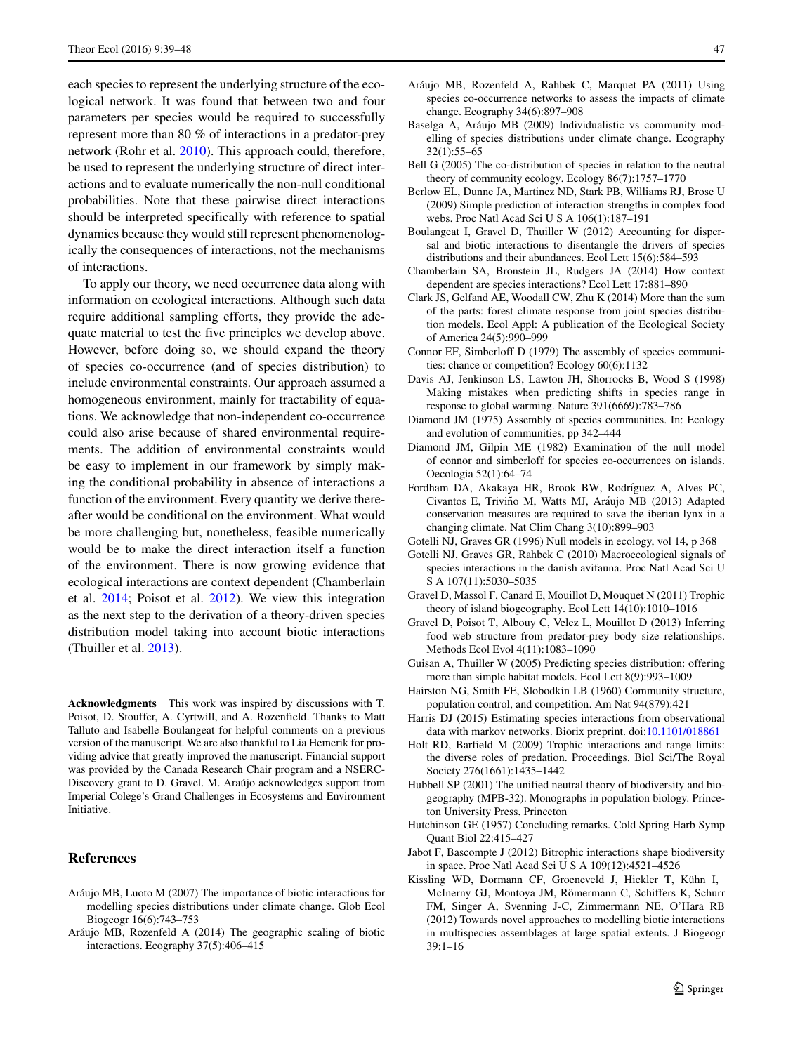each species to represent the underlying structure of the ecological network. It was found that between two and four parameters per species would be required to successfully represent more than 80 % of interactions in a predator-prey network (Rohr et al. [2010\)](#page-9-19). This approach could, therefore, be used to represent the underlying structure of direct interactions and to evaluate numerically the non-null conditional probabilities. Note that these pairwise direct interactions should be interpreted specifically with reference to spatial dynamics because they would still represent phenomenologically the consequences of interactions, not the mechanisms of interactions.

To apply our theory, we need occurrence data along with information on ecological interactions. Although such data require additional sampling efforts, they provide the adequate material to test the five principles we develop above. However, before doing so, we should expand the theory of species co-occurrence (and of species distribution) to include environmental constraints. Our approach assumed a homogeneous environment, mainly for tractability of equations. We acknowledge that non-independent co-occurrence could also arise because of shared environmental requirements. The addition of environmental constraints would be easy to implement in our framework by simply making the conditional probability in absence of interactions a function of the environment. Every quantity we derive thereafter would be conditional on the environment. What would be more challenging but, nonetheless, feasible numerically would be to make the direct interaction itself a function of the environment. There is now growing evidence that ecological interactions are context dependent (Chamberlain et al. [2014;](#page-8-25) Poisot et al. [2012\)](#page-9-21). We view this integration as the next step to the derivation of a theory-driven species distribution model taking into account biotic interactions (Thuiller et al. [2013\)](#page-9-22).

**Acknowledgments** This work was inspired by discussions with T. Poisot, D. Stouffer, A. Cyrtwill, and A. Rozenfield. Thanks to Matt Talluto and Isabelle Boulangeat for helpful comments on a previous version of the manuscript. We are also thankful to Lia Hemerik for providing advice that greatly improved the manuscript. Financial support was provided by the Canada Research Chair program and a NSERC-Discovery grant to D. Gravel. M. Araújo acknowledges support from Imperial Colege's Grand Challenges in Ecosystems and Environment Initiative.

## **References**

- <span id="page-8-10"></span>Aráujo MB, Luoto M (2007) The importance of biotic interactions for modelling species distributions under climate change. Glob Ecol Biogeogr 16(6):743–753
- <span id="page-8-23"></span>Aráujo MB, Rozenfeld A (2014) The geographic scaling of biotic interactions. Ecography 37(5):406–415
- <span id="page-8-3"></span>Aráujo MB, Rozenfeld A, Rahbek C, Marquet PA (2011) Using species co-occurrence networks to assess the impacts of climate change. Ecography 34(6):897–908
- <span id="page-8-14"></span>Baselga A, Aráujo MB (2009) Individualistic vs community modelling of species distributions under climate change. Ecography 32(1):55–65
- <span id="page-8-21"></span>Bell G (2005) The co-distribution of species in relation to the neutral theory of community ecology. Ecology 86(7):1757–1770
- <span id="page-8-22"></span>Berlow EL, Dunne JA, Martinez ND, Stark PB, Williams RJ, Brose U (2009) Simple prediction of interaction strengths in complex food webs. Proc Natl Acad Sci U S A 106(1):187–191
- <span id="page-8-8"></span>Boulangeat I, Gravel D, Thuiller W (2012) Accounting for dispersal and biotic interactions to disentangle the drivers of species distributions and their abundances. Ecol Lett 15(6):584–593
- <span id="page-8-25"></span>Chamberlain SA, Bronstein JL, Rudgers JA (2014) How context dependent are species interactions? Ecol Lett 17:881–890
- <span id="page-8-12"></span>Clark JS, Gelfand AE, Woodall CW, Zhu K (2014) More than the sum of the parts: forest climate response from joint species distribution models. Ecol Appl: A publication of the Ecological Society of America 24(5):990–999
- <span id="page-8-1"></span>Connor EF, Simberloff D (1979) The assembly of species communities: chance or competition? Ecology 60(6):1132
- <span id="page-8-9"></span>Davis AJ, Jenkinson LS, Lawton JH, Shorrocks B, Wood S (1998) Making mistakes when predicting shifts in species range in response to global warming. Nature 391(6669):783–786
- <span id="page-8-0"></span>Diamond JM (1975) Assembly of species communities. In: Ecology and evolution of communities, pp 342–444
- <span id="page-8-16"></span>Diamond JM, Gilpin ME (1982) Examination of the null model of connor and simberloff for species co-occurrences on islands. Oecologia 52(1):64–74
- <span id="page-8-15"></span>Fordham DA, Akakaya HR, Brook BW, Rodríguez A, Alves PC, Civantos E, Triviño M, Watts MJ, Aráujo MB (2013) Adapted conservation measures are required to save the iberian lynx in a changing climate. Nat Clim Chang 3(10):899–903
- <span id="page-8-2"></span>Gotelli NJ, Graves GR (1996) Null models in ecology, vol 14, p 368
- <span id="page-8-5"></span>Gotelli NJ, Graves GR, Rahbek C (2010) Macroecological signals of species interactions in the danish avifauna. Proc Natl Acad Sci U S A 107(11):5030–5035
- <span id="page-8-19"></span>Gravel D, Massol F, Canard E, Mouillot D, Mouquet N (2011) Trophic theory of island biogeography. Ecol Lett 14(10):1010–1016
- <span id="page-8-24"></span>Gravel D, Poisot T, Albouy C, Velez L, Mouillot D (2013) Inferring food web structure from predator-prey body size relationships. Methods Ecol Evol 4(11):1083–1090
- <span id="page-8-4"></span>Guisan A, Thuiller W (2005) Predicting species distribution: offering more than simple habitat models. Ecol Lett 8(9):993–1009
- <span id="page-8-17"></span>Hairston NG, Smith FE, Slobodkin LB (1960) Community structure, population control, and competition. Am Nat 94(879):421
- <span id="page-8-13"></span>Harris DJ (2015) Estimating species interactions from observational data with markov networks. Biorix preprint. doi[:10.1101/018861](http://dx.doi.org/10.1101/018861)
- <span id="page-8-18"></span>Holt RD, Barfield M (2009) Trophic interactions and range limits: the diverse roles of predation. Proceedings. Biol Sci/The Royal Society 276(1661):1435–1442
- <span id="page-8-20"></span>Hubbell SP (2001) The unified neutral theory of biodiversity and biogeography (MPB-32). Monographs in population biology. Princeton University Press, Princeton
- <span id="page-8-7"></span>Hutchinson GE (1957) Concluding remarks. Cold Spring Harb Symp Quant Biol 22:415–427
- <span id="page-8-11"></span>Jabot F, Bascompte J (2012) Bitrophic interactions shape biodiversity in space. Proc Natl Acad Sci U S A 109(12):4521–4526
- <span id="page-8-6"></span>Kissling WD, Dormann CF, Groeneveld J, Hickler T, Kühn I, McInerny GJ, Montoya JM, Römermann C, Schiffers K, Schurr FM, Singer A, Svenning J-C, Zimmermann NE, O'Hara RB (2012) Towards novel approaches to modelling biotic interactions in multispecies assemblages at large spatial extents. J Biogeogr 39:1–16